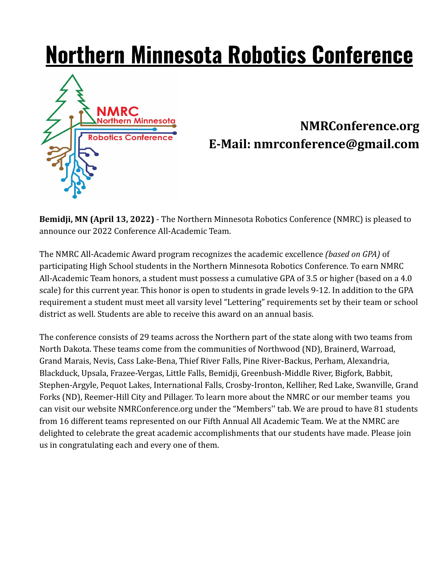# **Northern Minnesota Robotics Conference**



# **NMRConference.org E-Mail: nmrconference@gmail.com**

**Bemidji, MN (April 13, 2022)** - The Northern Minnesota Robotics Conference (NMRC) is pleased to announce our 2022 Conference All-Academic Team.

The NMRC All-Academic Award program recognizes the academic excellence *(based on GPA)* of participating High School students in the Northern Minnesota Robotics Conference. To earn NMRC All-Academic Team honors, a student must possess a cumulative GPA of 3.5 or higher (based on a 4.0 scale) for this current year. This honor is open to students in grade levels 9-12. In addition to the GPA requirement a student must meet all varsity level "Lettering" requirements set by their team or school district as well. Students are able to receive this award on an annual basis.

The conference consists of 29 teams across the Northern part of the state along with two teams from North Dakota. These teams come from the communities of Northwood (ND), Brainerd, Warroad, Grand Marais, Nevis, Cass Lake-Bena, Thief River Falls, Pine River-Backus, Perham, Alexandria, Blackduck, Upsala, Frazee-Vergas, Little Falls, Bemidji, Greenbush-Middle River, Bigfork, Babbit, Stephen-Argyle, Pequot Lakes, International Falls, Crosby-Ironton, Kelliher, Red Lake, Swanville, Grand Forks (ND), Reemer-Hill City and Pillager. To learn more about the NMRC or our member teams you can visit our website NMRConference.org under the "Members'' tab. We are proud to have 81 students from 16 different teams represented on our Fifth Annual All Academic Team. We at the NMRC are delighted to celebrate the great academic accomplishments that our students have made. Please join us in congratulating each and every one of them.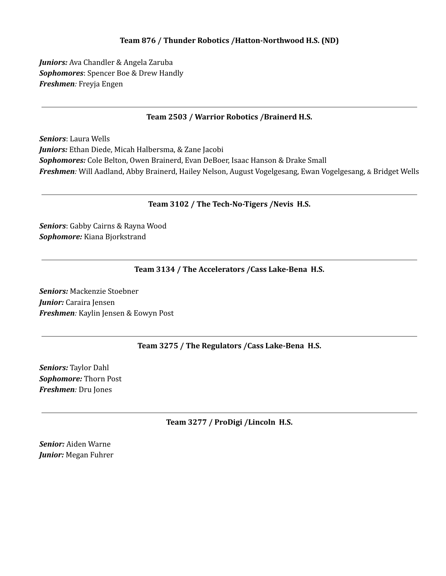# **Team 876 / Thunder Robotics /Hatton-Northwood H.S. (ND)**

*Juniors:* Ava Chandler & Angela Zaruba *Sophomores*: Spencer Boe & Drew Handly *Freshmen:* Freyja Engen

### **Team 2503 / Warrior Robotics /Brainerd H.S.**

*Seniors*: Laura Wells *Juniors:* Ethan Diede, Micah Halbersma, & Zane Jacobi *Sophomores:* Cole Belton, Owen Brainerd, Evan DeBoer, Isaac Hanson & Drake Small *Freshmen:* Will Aadland, Abby Brainerd, Hailey Nelson, August Vogelgesang, Ewan Vogelgesang, & Bridget Wells

### **Team 3102 / The Tech-No-Tigers /Nevis H.S.**

*Seniors*: Gabby Cairns & Rayna Wood *Sophomore:* Kiana Bjorkstrand

### **Team 3134 / The Accelerators /Cass Lake-Bena H.S.**

*Seniors:* Mackenzie Stoebner *Junior:* Caraira Jensen *Freshmen:* Kaylin Jensen & Eowyn Post

# **Team 3275 / The Regulators /Cass Lake-Bena H.S.**

*Seniors:* Taylor Dahl *Sophomore:* Thorn Post *Freshmen:* Dru Jones

**Team 3277 / ProDigi /Lincoln H.S.**

*Senior:* Aiden Warne *Junior:* Megan Fuhrer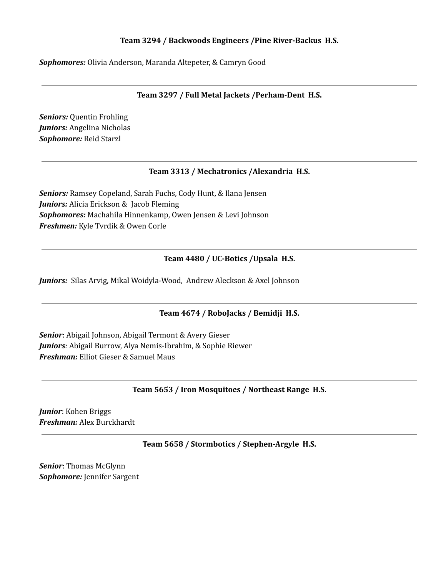# **Team 3294 / Backwoods Engineers /Pine River-Backus H.S.**

*Sophomores:* Olivia Anderson, Maranda Altepeter, & Camryn Good

**Team 3297 / Full Metal Jackets /Perham-Dent H.S.**

*Seniors:* Quentin Frohling *Juniors:* Angelina Nicholas *Sophomore:* Reid Starzl

### **Team 3313 / Mechatronics /Alexandria H.S.**

*Seniors:* Ramsey Copeland, Sarah Fuchs, Cody Hunt, & Ilana Jensen *Juniors:* Alicia Erickson & Jacob Fleming *Sophomores:* Machahila Hinnenkamp, Owen Jensen & Levi Johnson *Freshmen:* Kyle Tvrdik & Owen Corle

### **Team 4480 / UC-Botics /Upsala H.S.**

*Juniors:* Silas Arvig, Mikal Woidyla-Wood, Andrew Aleckson & Axel Johnson

# **Team 4674 / RoboJacks / Bemidji H.S.**

*Senior*: Abigail Johnson, Abigail Termont & Avery Gieser *Juniors:* Abigail Burrow, Alya Nemis-Ibrahim, & Sophie Riewer *Freshman:* Elliot Gieser & Samuel Maus

**Team 5653 / Iron Mosquitoes / Northeast Range H.S.**

*Junior*: Kohen Briggs *Freshman:* Alex Burckhardt

**Team 5658 / Stormbotics / Stephen-Argyle H.S.**

*Senior*: Thomas McGlynn *Sophomore:* Jennifer Sargent